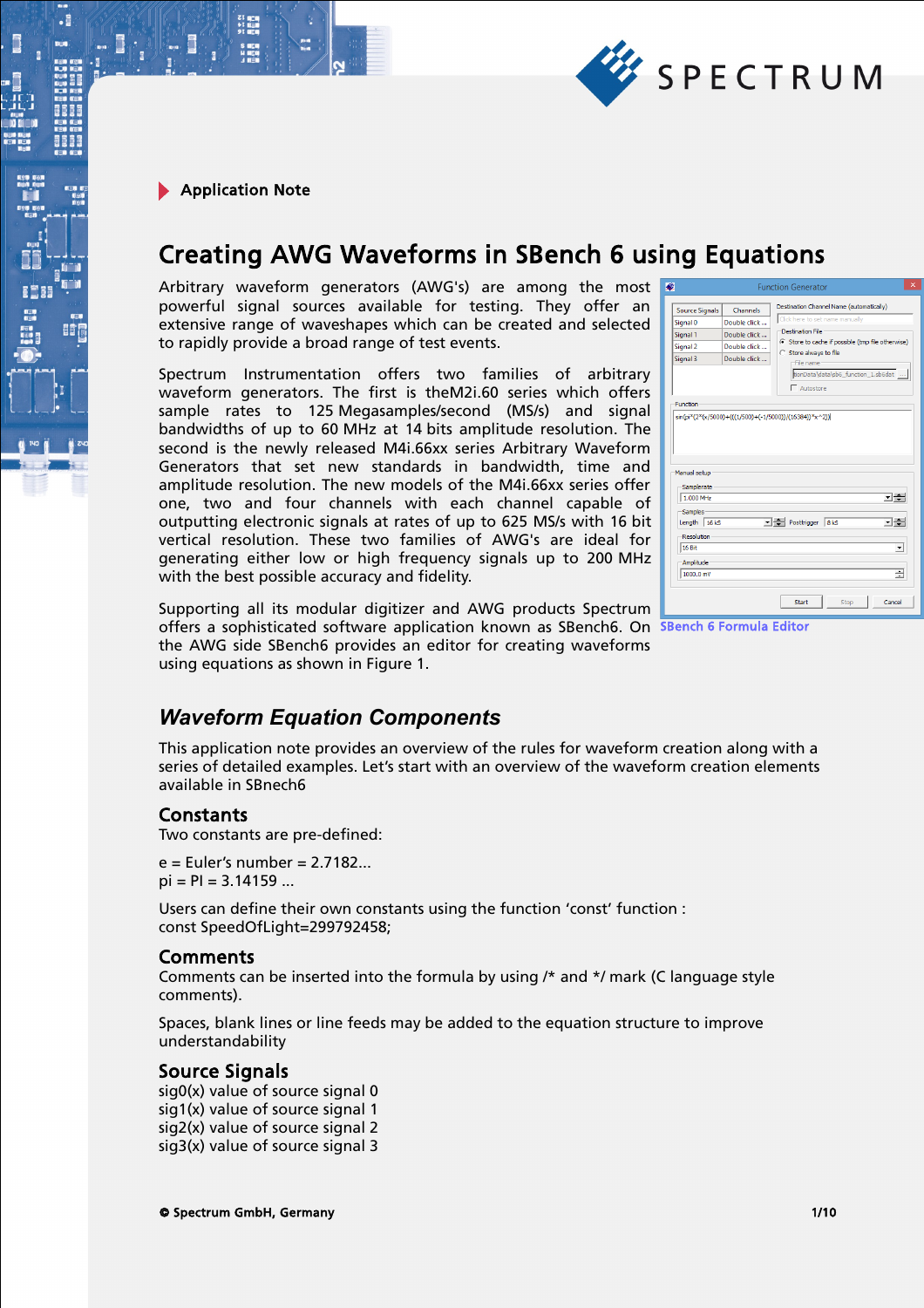

.

# Creating AWG Waveforms in SBench 6 using Equations

Arbitrary waveform generators (AWG's) are among the most powerful signal sources available for testing. They offer an extensive range of waveshapes which can be created and selected to rapidly provide a broad range of test events.

Spectrum Instrumentation offers two families of arbitrary waveform generators. The first is theM2i.60 series which offers sample rates to 125 Megasamples/second (MS/s) and signal bandwidths of up to 60 MHz at 14 bits amplitude resolution. The second is the newly released M4i.66xx series Arbitrary Waveform Generators that set new standards in bandwidth, time and amplitude resolution. The new models of the M4i.66xx series offer one, two and four channels with each channel capable of outputting electronic signals at rates of up to 625 MS/s with 16 bit vertical resolution. These two families of AWG's are ideal for generating either low or high frequency signals up to 200 MHz with the best possible accuracy and fidelity.

| <b>Source Signals</b><br><b>Channels</b><br>Double click<br>Signal 0<br>Signal 1<br>Double click<br>Double click<br>Signal 2<br>Signal 3<br>Double click<br><b>Function</b><br>Samplerate<br>1.000 MHz<br>Samples<br>Length 16 kS<br><b>Resolution</b> | <b>Function Generator</b>                                                                                                                                                                                                                                          |  |  |
|--------------------------------------------------------------------------------------------------------------------------------------------------------------------------------------------------------------------------------------------------------|--------------------------------------------------------------------------------------------------------------------------------------------------------------------------------------------------------------------------------------------------------------------|--|--|
|                                                                                                                                                                                                                                                        | Destination Channel Name (automatically)<br>Click here to set name manually<br><b>Destination File</b><br>(C) Store to cache if possible (tmp file otherwise)<br>C Store always to file<br>-File name<br>tionData\data\sb6_function_1.sb6dat<br>$\Gamma$ Autostore |  |  |
| Amplitude<br>1000.0 mV                                                                                                                                                                                                                                 | sin(pi*(2*(x/5000)+(((1/500)+(-1/5000))/(16384))*x^2))<br>Manual setup<br>그수<br>Posttrigger 8 kS<br>고수<br><b>16 Bit</b><br>÷                                                                                                                                       |  |  |

Supporting all its modular digitizer and AWG products Spectrum offers a sophisticated software application known as SBench6. On SBench 6 Formula Editor the AWG side SBench6 provides an editor for creating waveforms using equations as shown in Figure 1.

# *Waveform Equation Components*

This application note provides an overview of the rules for waveform creation along with a series of detailed examples. Let's start with an overview of the waveform creation elements available in SBnech6

### Constants

Two constants are pre-defined:

 $e =$  Euler's number = 2.7182...  $pi = PI = 3.14159...$ 

Users can define their own constants using the function 'const' function : const SpeedOfLight=299792458;

### Comments

Comments can be inserted into the formula by using /\* and \*/ mark (C language style comments).

Spaces, blank lines or line feeds may be added to the equation structure to improve understandability

## Source Signals

sig0(x) value of source signal 0 sig1(x) value of source signal 1 sig2(x) value of source signal 2 sig3(x) value of source signal 3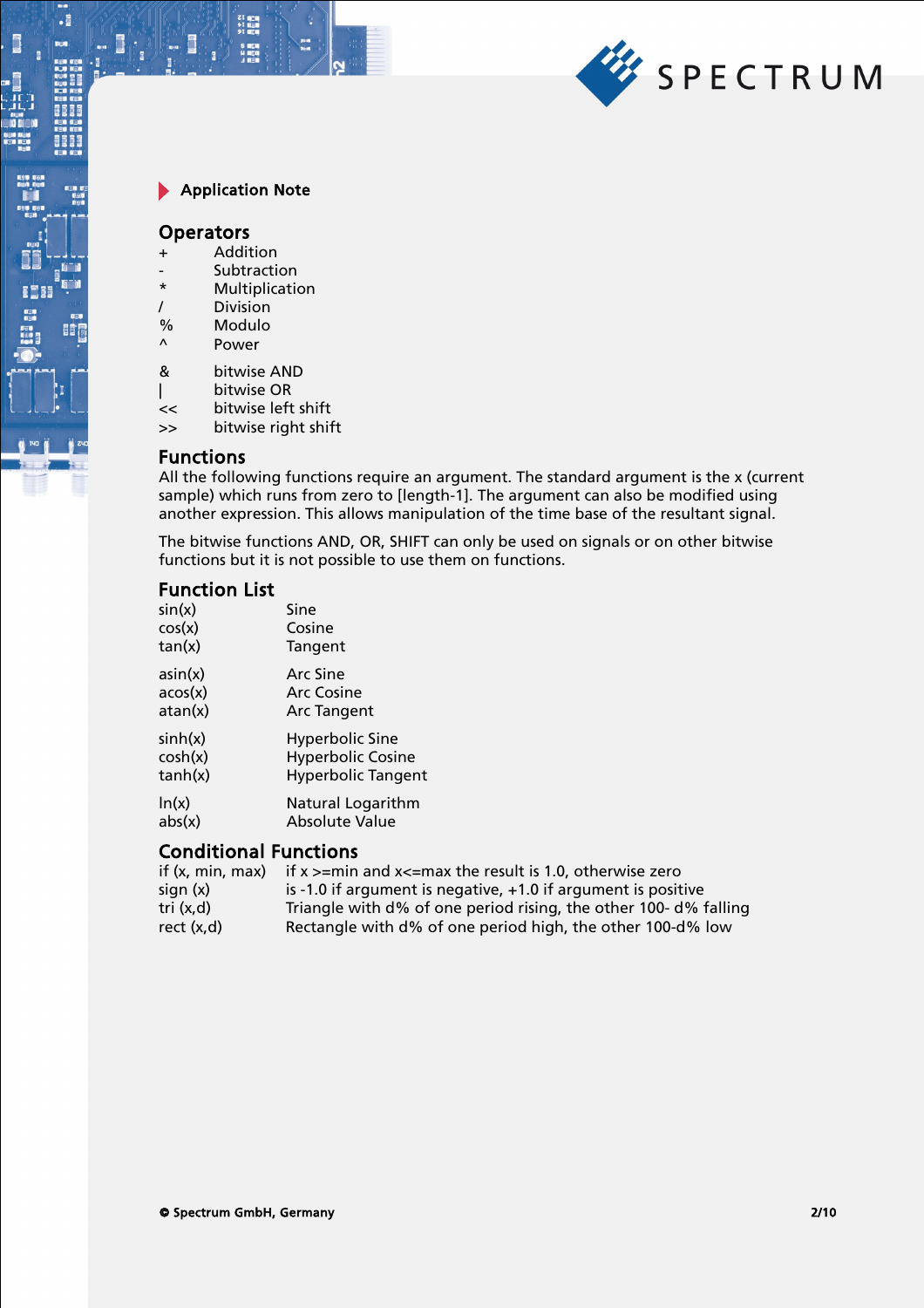

とは 同立時<br>サイ 直通<br>タイ 原理

#### **Operators**

 $\cdot$ 

BÓ

- + Addition
- Subtraction
- \* Multiplication
- / Division
- % Modulo<br>^ Power
- **Power**
- & bitwise AND
- | bitwise OR
- << bitwise left shift
- >> bitwise right shift

### Functions

All the following functions require an argument. The standard argument is the x (current sample) which runs from zero to [length-1]. The argument can also be modified using another expression. This allows manipulation of the time base of the resultant signal.

The bitwise functions AND, OR, SHIFT can only be used on signals or on other bitwise functions but it is not possible to use them on functions.

## Function List

| sin(x)  | Sine                      |
|---------|---------------------------|
| cos(x)  | Cosine                    |
| tan(x)  | Tangent                   |
| asin(x) | Arc Sine                  |
| acos(x) | <b>Arc Cosine</b>         |
| atan(x) | <b>Arc Tangent</b>        |
| sinh(x) | Hyperbolic Sine           |
| cosh(x) | <b>Hyperbolic Cosine</b>  |
| tanh(x) | <b>Hyperbolic Tangent</b> |
| ln(x)   | Natural Logarithm         |
| abs(x)  | Absolute Value            |

# Conditional Functions

| if (x, min, max) | if $x > = min$ and $x < = max$ the result is 1.0, otherwise zero |
|------------------|------------------------------------------------------------------|
| sign(x)          | is -1.0 if argument is negative, +1.0 if argument is positive    |
| tri (x,d)        | Triangle with d% of one period rising, the other 100-d% falling  |
| rect(x,d)        | Rectangle with d% of one period high, the other 100-d% low       |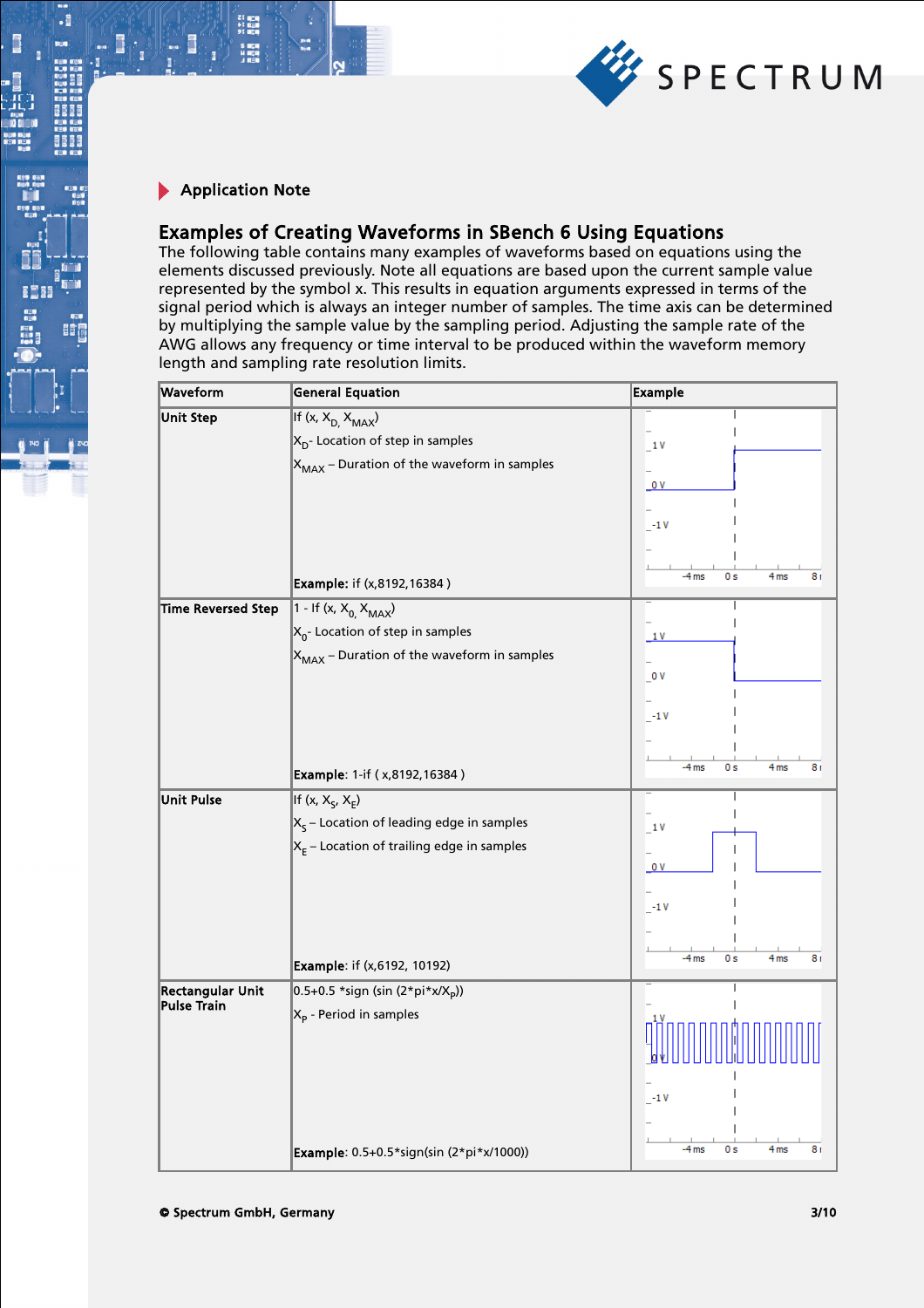

とは 同立時<br>サイ 直通<br>タイ 原理

 $\cdot$ 

BÓ

# Examples of Creating Waveforms in SBench 6 Using Equations

The following table contains many examples of waveforms based on equations using the elements discussed previously. Note all equations are based upon the current sample value represented by the symbol x. This results in equation arguments expressed in terms of the signal period which is always an integer number of samples. The time axis can be determined by multiplying the sample value by the sampling period. Adjusting the sample rate of the AWG allows any frequency or time interval to be produced within the waveform memory length and sampling rate resolution limits.

| Waveform                  | <b>General Equation</b>                         | <b>Example</b>                          |
|---------------------------|-------------------------------------------------|-----------------------------------------|
| <b>Unit Step</b>          | If $(x, X_{D,} X_{MAX})$                        |                                         |
|                           | $X_{D}$ - Location of step in samples           | 1V                                      |
|                           | $X_{MAX}$ – Duration of the waveform in samples |                                         |
|                           |                                                 | 0V                                      |
|                           |                                                 |                                         |
|                           |                                                 | $-1V$                                   |
|                           |                                                 |                                         |
|                           | <b>Example:</b> if (x,8192,16384)               | $-4ms$<br>0 s<br>4 <sub>ms</sub><br>8 r |
| <b>Time Reversed Step</b> | 1 - If (x, $X_{0}$ , $X_{MAX}$ )                |                                         |
|                           | $X_0$ - Location of step in samples             | 1V                                      |
|                           | $X_{MAX}$ – Duration of the waveform in samples |                                         |
|                           |                                                 | $_{-0}$ v                               |
|                           |                                                 |                                         |
|                           |                                                 | $-1V$                                   |
|                           |                                                 |                                         |
|                           | <b>Example: 1-if (x,8192,16384)</b>             | $-4$ ms<br>0s<br>4 <sub>ms</sub><br>8 r |
| <b>Unit Pulse</b>         | If (x, $X_{S}$ , $X_{E}$ )                      |                                         |
|                           | $X_s$ – Location of leading edge in samples     | 1V                                      |
|                           | $X_E$ – Location of trailing edge in samples    |                                         |
|                           |                                                 | 0V                                      |
|                           |                                                 |                                         |
|                           |                                                 | $-1V$                                   |
|                           |                                                 |                                         |
|                           | <b>Example:</b> if (x,6192, 10192)              | $-4ms$<br>0s<br>4 <sub>ms</sub><br>8 r  |
| <b>Rectangular Unit</b>   | 0.5+0.5 *sign (sin (2*pi*x/X <sub>p</sub> ))    |                                         |
| <b>Pulse Train</b>        | $X_p$ - Period in samples                       |                                         |
|                           |                                                 |                                         |
|                           |                                                 |                                         |
|                           |                                                 |                                         |
|                           |                                                 | $-1V$                                   |
|                           |                                                 |                                         |
|                           | Example: 0.5+0.5*sign(sin (2*pi*x/1000))        | $-4$ ms<br>0 s<br>4 <sub>ms</sub><br>8r |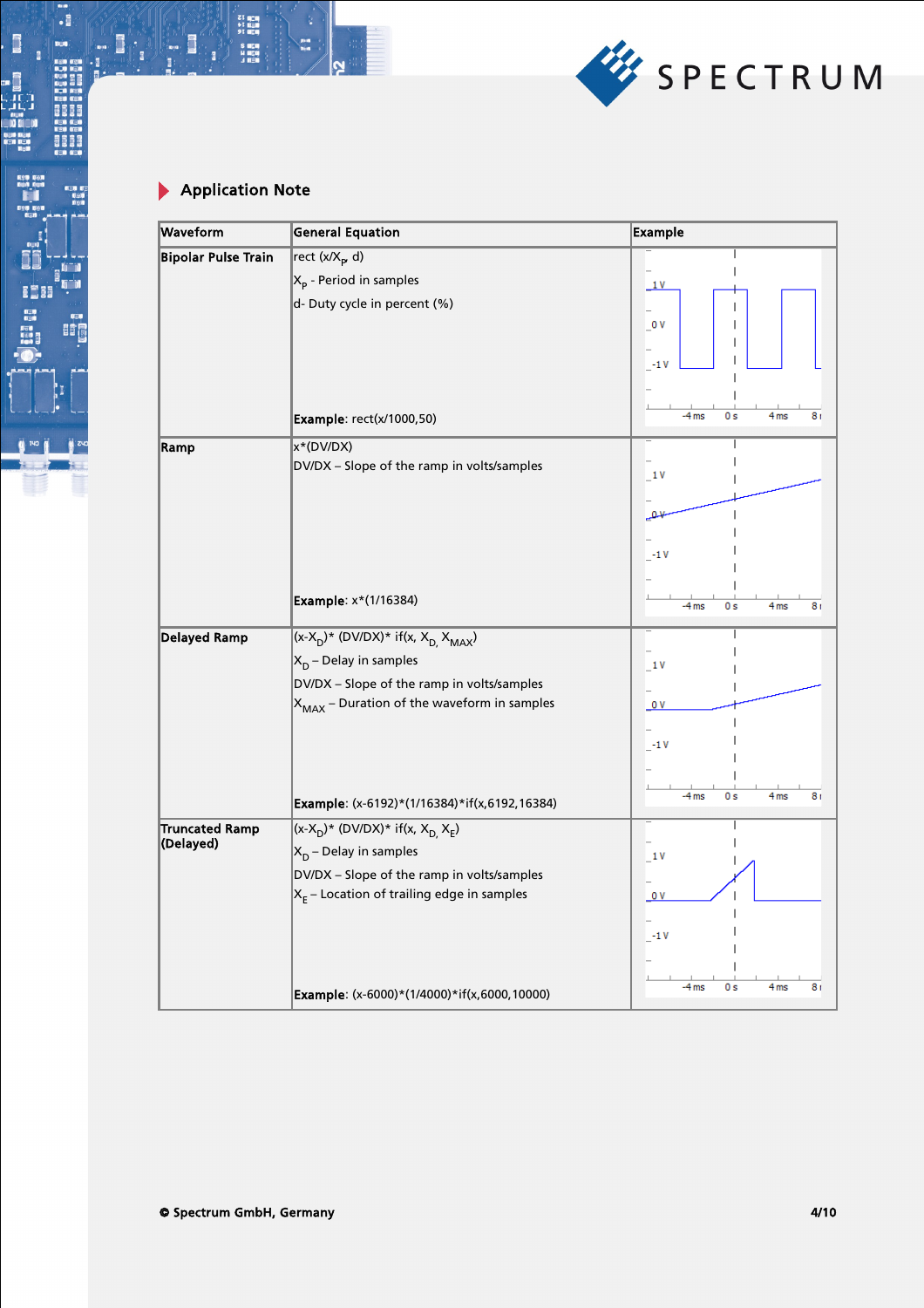

21 年1月<br>41 日1月<br>51 日1月<br>51 日1月<br>51 日1月

 $\frac{p}{q}$ 

 $\cdot$  :

11,4

81

BO

B

II. O

j

Les comme

 $\bullet$ 

| Waveform                   | <b>General Equation</b>                                                                    | <b>Example</b>                                     |
|----------------------------|--------------------------------------------------------------------------------------------|----------------------------------------------------|
| <b>Bipolar Pulse Train</b> | rect (x/X <sub>p</sub> , d)                                                                |                                                    |
|                            | $X_p$ - Period in samples                                                                  | 1V                                                 |
|                            | d- Duty cycle in percent (%)                                                               |                                                    |
|                            |                                                                                            | $\sqrt{0}V$                                        |
|                            |                                                                                            |                                                    |
|                            |                                                                                            | $-1V$                                              |
|                            |                                                                                            |                                                    |
|                            | Example: rect(x/1000,50)                                                                   | $-4ms$<br>0 <sub>s</sub><br>4 <sub>ms</sub><br>8 r |
| Ramp                       | x*(DV/DX)                                                                                  |                                                    |
|                            | DV/DX - Slope of the ramp in volts/samples                                                 | 1V                                                 |
|                            |                                                                                            |                                                    |
|                            |                                                                                            | ہم                                                 |
|                            |                                                                                            |                                                    |
|                            |                                                                                            | $-1V$                                              |
|                            |                                                                                            |                                                    |
|                            | <b>Example:</b> x*(1/16384)                                                                | 4 <sub>ms</sub><br>$-4ms$<br>0 s<br>8 r            |
| <b>Delayed Ramp</b>        | $(x-X_D)^*$ (DV/DX)* if(x, $X_{D_r}$ $X_{MAX}$ )                                           |                                                    |
|                            | $X_D$ – Delay in samples                                                                   | 1V                                                 |
|                            | DV/DX - Slope of the ramp in volts/samples                                                 |                                                    |
|                            | $X_{MAX}$ – Duration of the waveform in samples                                            | 0 <sub>V</sub>                                     |
|                            |                                                                                            |                                                    |
|                            |                                                                                            | $-1V$                                              |
|                            |                                                                                            |                                                    |
|                            | Example: (x-6192)*(1/16384)*if(x,6192,16384)                                               | 4 <sub>ms</sub><br>-4 ms<br>0 s<br>8 r             |
| <b>Truncated Ramp</b>      |                                                                                            |                                                    |
| (Delayed)                  | $(x-X_D)^*$ (DV/DX)* if(x, X <sub>D,</sub> X <sub>E</sub> )                                |                                                    |
|                            | $X_D$ – Delay in samples                                                                   | 1 V                                                |
|                            | DV/DX - Slope of the ramp in volts/samples<br>$X_E$ – Location of trailing edge in samples | 0V                                                 |
|                            |                                                                                            |                                                    |
|                            |                                                                                            | $-1V$                                              |
|                            |                                                                                            |                                                    |
|                            |                                                                                            |                                                    |
|                            | Example: (x-6000)*(1/4000)*if(x,6000,10000)                                                | $-4ms$<br>0s<br>4 <sub>ms</sub><br>8 r             |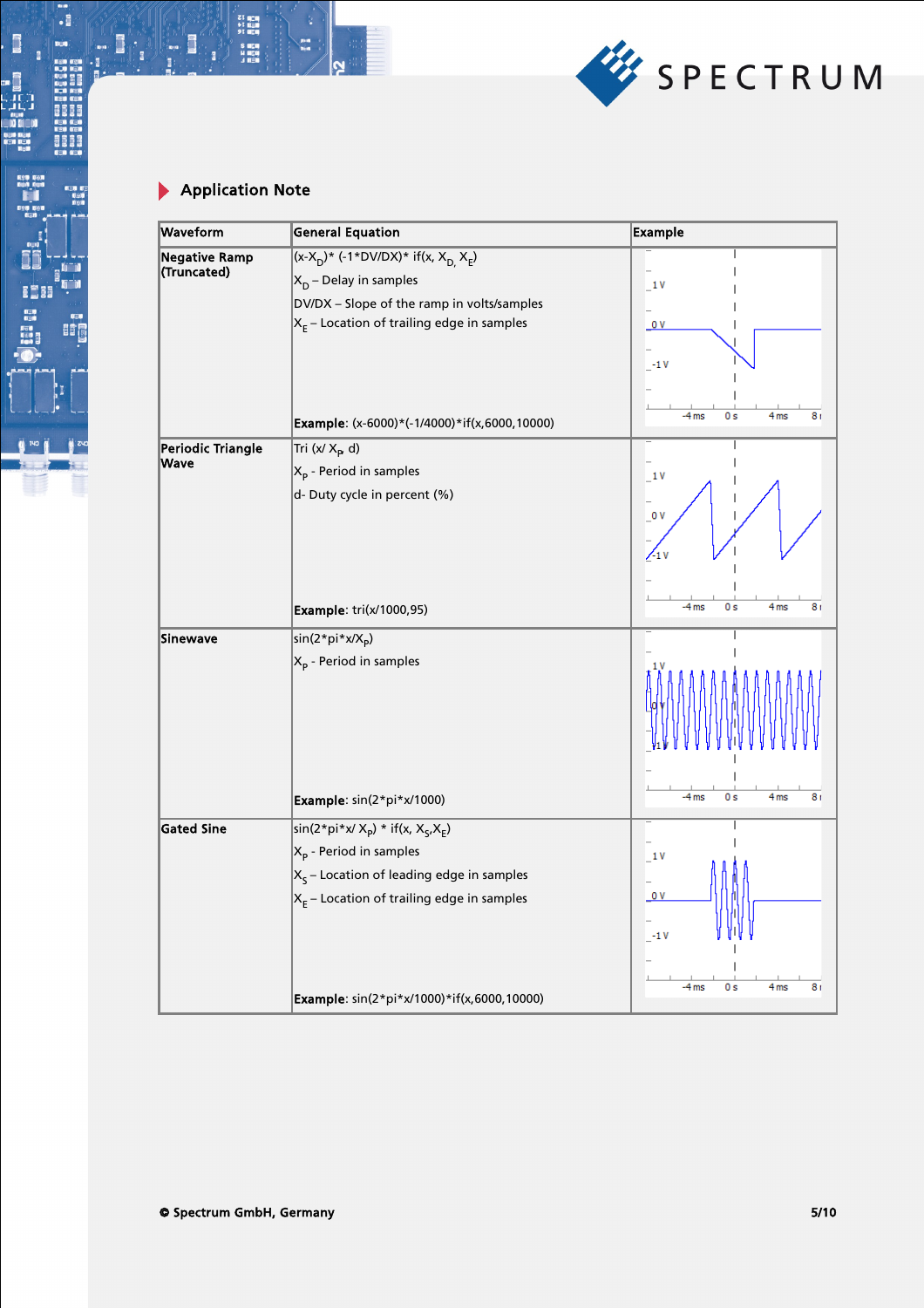

21 中国<br>41 日本<br>91 日本時代<br>6 日本時代

.:

.,

8888

BOT<sub>1</sub>

B

**I**I: 1

i<br>Ji

nun<br>Di Ki

j

u din si

 $\bullet$   $\bullet$ 

| Waveform                  | <b>General Equation</b>                                        | <b>Example</b>                                     |
|---------------------------|----------------------------------------------------------------|----------------------------------------------------|
| <b>Negative Ramp</b>      | $(x-X_D)^*$ (-1*DV/DX)* if(x, X <sub>D,</sub> X <sub>E</sub> ) |                                                    |
| (Truncated)               | $X_D$ – Delay in samples                                       | 1V                                                 |
|                           | DV/DX - Slope of the ramp in volts/samples                     |                                                    |
|                           | $X_{E}$ – Location of trailing edge in samples                 | 0 <sub>V</sub>                                     |
|                           |                                                                | $-1V$                                              |
|                           |                                                                | $-4ms$<br>0s<br>4 <sub>ms</sub><br>8r              |
|                           | Example: (x-6000)*(-1/4000)*if(x,6000,10000)                   |                                                    |
| Periodic Triangle<br>Wave | Tri (x/ $X_{\mathbf{p}}$ , d)                                  |                                                    |
|                           | $X_p$ - Period in samples                                      | 1V                                                 |
|                           | d- Duty cycle in percent (%)                                   | $_{\circ}$ ov                                      |
|                           |                                                                |                                                    |
|                           |                                                                | $\sqrt{1}v$                                        |
|                           |                                                                |                                                    |
|                           | Example: tri(x/1000,95)                                        | $-4ms$<br>0 <sub>s</sub><br>4 <sub>ms</sub><br>8 r |
| <b>Sinewave</b>           | sin(2*pi*x/X <sub>p</sub> )                                    |                                                    |
|                           | $X_p$ - Period in samples                                      |                                                    |
|                           |                                                                |                                                    |
|                           |                                                                |                                                    |
|                           |                                                                |                                                    |
|                           |                                                                |                                                    |
|                           |                                                                |                                                    |
|                           | Example: sin(2*pi*x/1000)                                      | 4 <sub>ms</sub><br>$-4ms$<br>0 <sub>s</sub><br>8 r |
| <b>Gated Sine</b>         | $\sin(2\pi p i \pi x / X_p) \cdot \text{if}(x, X_q, X_p)$      |                                                    |
|                           | $X_p$ - Period in samples                                      | 1V                                                 |
|                           | $X_s$ – Location of leading edge in samples                    |                                                    |
|                           | $X_E$ – Location of trailing edge in samples                   | 0V                                                 |
|                           |                                                                | $-1V$                                              |
|                           |                                                                | 4 <sub>ms</sub><br>$-4ms$<br>0s<br>8r              |
|                           | Example: sin(2*pi*x/1000)*if(x,6000,10000)                     |                                                    |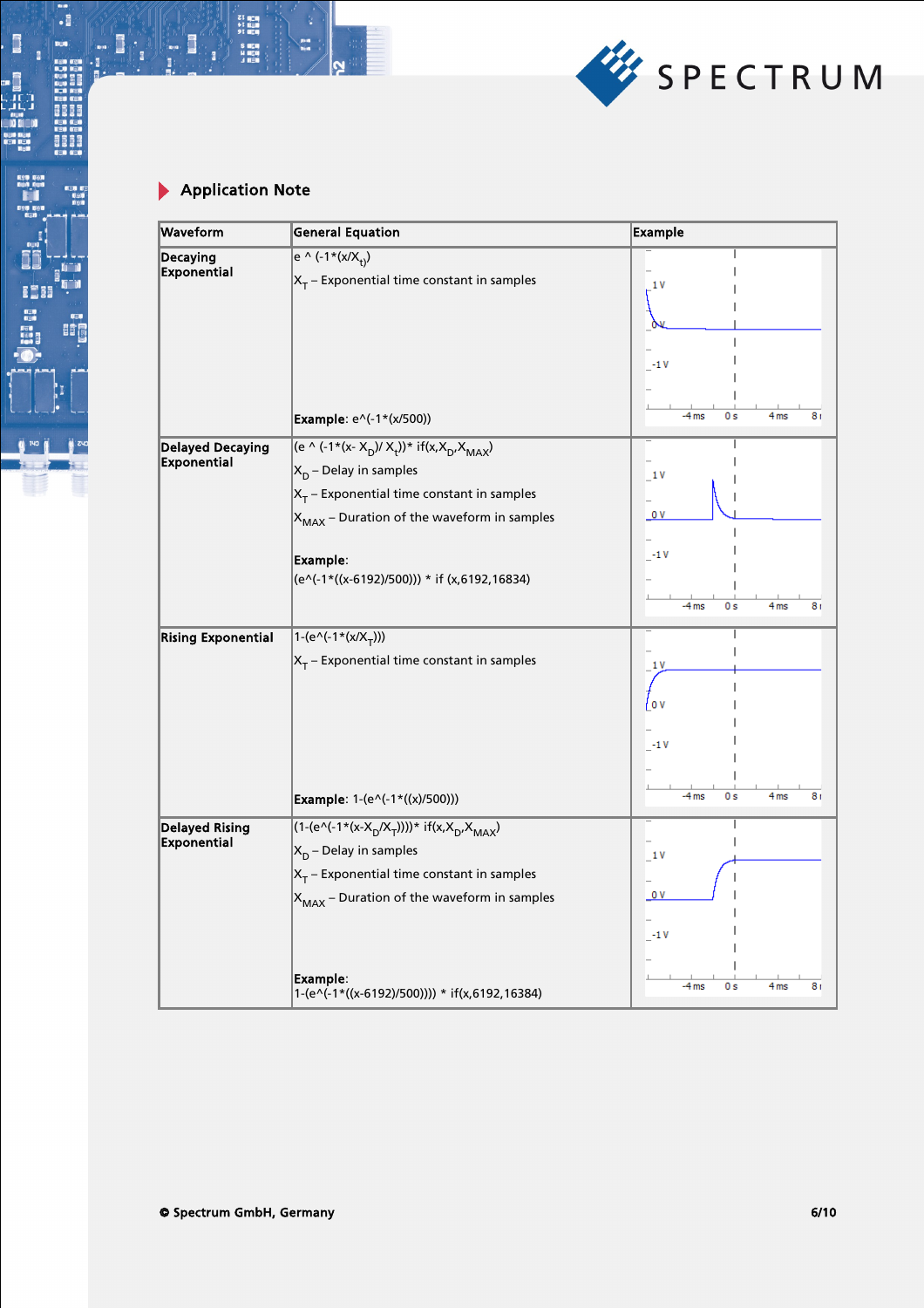

21 中国<br>41 日本<br>91 日本時代<br>6 日本時代

m.<br>Ma

.:

131

8888

BOT<sub>1</sub>

 $\Box$ 

**: 1** 

i<br>Ji

n a

j

Les comments

 $\bullet$ 

| Waveform                  | <b>General Equation</b>                                                                     | <b>Example</b>                                    |
|---------------------------|---------------------------------------------------------------------------------------------|---------------------------------------------------|
| Decaying                  | $e^ \wedge (-1*(x/X_{+}))$                                                                  |                                                   |
| Exponential               | $X_T$ – Exponential time constant in samples                                                | 1 V                                               |
|                           |                                                                                             |                                                   |
|                           |                                                                                             |                                                   |
|                           |                                                                                             | $-1V$                                             |
|                           |                                                                                             |                                                   |
|                           | Example: e^(-1*(x/500))                                                                     | 4 <sub>ms</sub><br>$-4ms$<br>0 s<br>8 r           |
| <b>Delayed Decaying</b>   | (e ^ (-1*(x- X <sub>D</sub> )/ X <sub>t</sub> ))* if(x,X <sub>D</sub> ,X <sub>MAX</sub> )   |                                                   |
| Exponential               | $X_D$ – Delay in samples                                                                    | 1V                                                |
|                           | $X_T$ – Exponential time constant in samples                                                |                                                   |
|                           | $X_{MAX}$ – Duration of the waveform in samples                                             | 0 V                                               |
|                           |                                                                                             | $-1V$                                             |
|                           | Example:<br>(e^(-1*((x-6192)/500))) * if (x,6192,16834)                                     |                                                   |
|                           |                                                                                             | $-4ms$<br>0s<br>4 <sub>ms</sub><br>8 r            |
|                           |                                                                                             |                                                   |
| <b>Rising Exponential</b> | $1-(e^{\Lambda}(-1*(x/X_{T})))$                                                             |                                                   |
|                           | $X_T$ – Exponential time constant in samples                                                | 1 V                                               |
|                           |                                                                                             | <sup>l</sup> ov                                   |
|                           |                                                                                             |                                                   |
|                           |                                                                                             | $-1V$                                             |
|                           |                                                                                             |                                                   |
|                           | Example: 1-(e^(-1*((x)/500)))                                                               | 4 <sub>ms</sub><br>$-4ms$<br>0 s<br>8 r           |
| <b>Delayed Rising</b>     | $(1-(e^{\Lambda}(-1*(x-X_{\Gamma}/X_{\Gamma}))))$ * if(x,X <sub>D'</sub> X <sub>MAX</sub> ) |                                                   |
| Exponential               | $X_D$ – Delay in samples                                                                    | 1V                                                |
|                           | $X_T$ – Exponential time constant in samples                                                |                                                   |
|                           | $X_{MAX}$ – Duration of the waveform in samples                                             | 0V                                                |
|                           |                                                                                             | $-1V$                                             |
|                           |                                                                                             |                                                   |
|                           | Example:                                                                                    | 4 <sub>ms</sub><br>$-4ms$<br>0 <sub>s</sub><br>8r |
|                           | 1-(e^(-1*((x-6192)/500)))) * if(x,6192,16384)                                               |                                                   |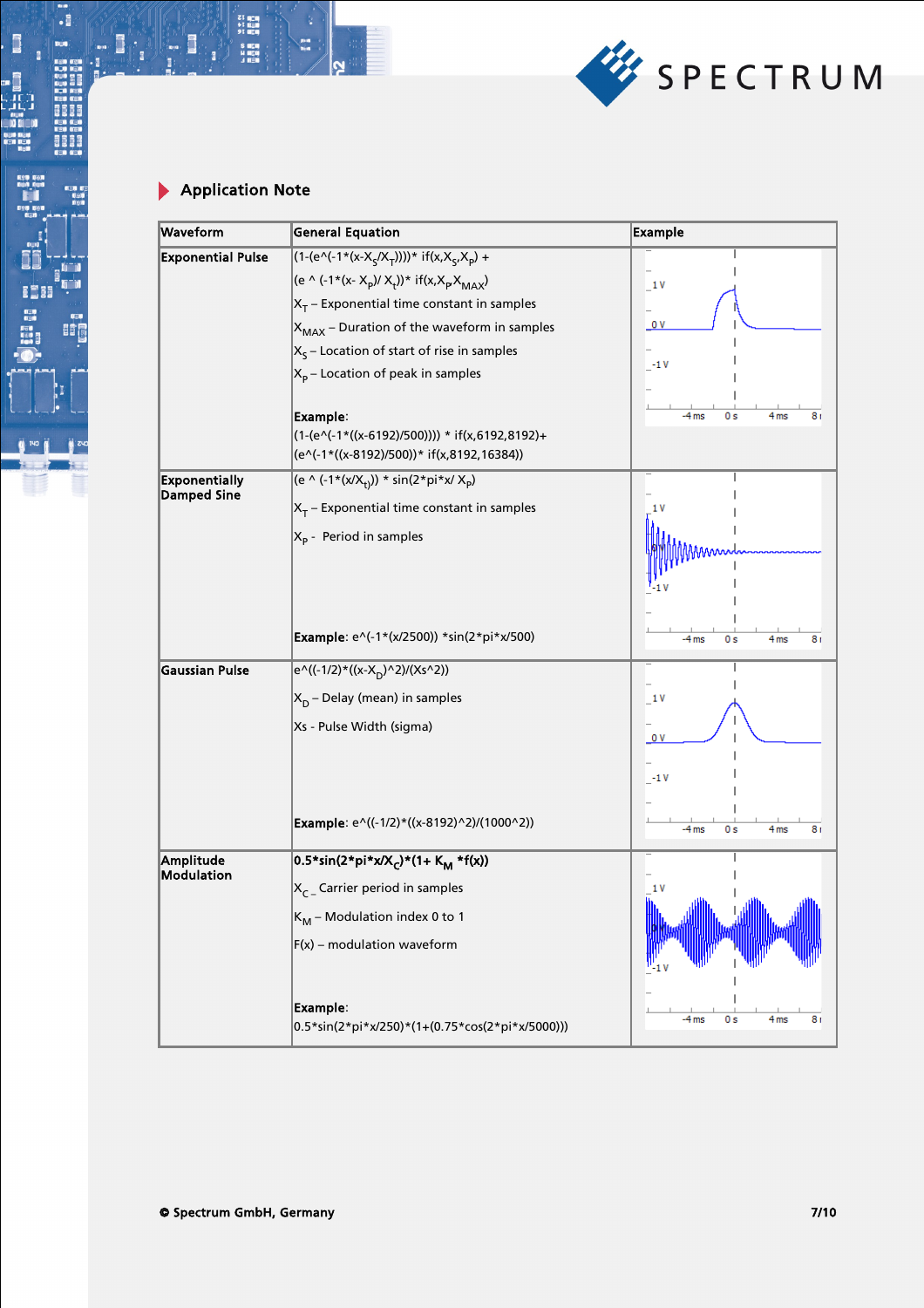

21 中国<br>41 日本<br>91 日本時代<br>6 日本時代

.:

i.

||明日|<br>||明日|<br>|明日|

8888

BO)

B

**: 5** 

D

i<br>Ji

) I

ī

L III III III

 $\bullet$ 

| Waveform                 | <b>General Equation</b>                                                                     | <b>Example</b>                          |
|--------------------------|---------------------------------------------------------------------------------------------|-----------------------------------------|
| <b>Exponential Pulse</b> | $(1-(e^{\wedge}(-1*(x-X_{\varsigma}/X_{\tau}))))$ * if(x,X <sub>S</sub> ,X <sub>p</sub> ) + |                                         |
|                          | (e ^ (-1*(x- X <sub>p</sub> )/ X <sub>t</sub> ))* if(x,X <sub>p</sub> X <sub>MAX</sub> )    | 1V                                      |
|                          | $X_T$ – Exponential time constant in samples                                                |                                         |
|                          | $X_{MAX}$ – Duration of the waveform in samples                                             | 0V                                      |
|                          | $XS$ – Location of start of rise in samples                                                 | $-1V$                                   |
|                          | $X_p$ – Location of peak in samples                                                         |                                         |
|                          |                                                                                             |                                         |
|                          | Example:<br>(1-(e^(-1*((x-6192)/500)))) * if(x,6192,8192)+                                  | $-4ms$<br>0 s<br>4 <sub>ms</sub>        |
|                          | (e^(-1*((x-8192)/500))* if(x,8192,16384))                                                   |                                         |
| <b>Exponentially</b>     | (e ^ (-1*(x/X <sub>t)</sub> )) * sin(2*pi*x/ X <sub>p</sub> )                               |                                         |
| <b>Damped Sine</b>       | $X_T$ – Exponential time constant in samples                                                |                                         |
|                          | $X_p$ - Period in samples                                                                   |                                         |
|                          |                                                                                             |                                         |
|                          |                                                                                             |                                         |
|                          |                                                                                             |                                         |
|                          | Example: e^(-1*(x/2500)) *sin(2*pi*x/500)                                                   | $-4ms$<br>0 s<br>4 <sub>ms</sub><br>8 r |
| <b>Gaussian Pulse</b>    | $e^{\Lambda}((-1/2) * ((x-X_D)^{2}/(Xs^2))$                                                 |                                         |
|                          | $X_D$ – Delay (mean) in samples                                                             | 1 V                                     |
|                          | Xs - Pulse Width (sigma)                                                                    |                                         |
|                          |                                                                                             | 0 V                                     |
|                          |                                                                                             | $-1V$                                   |
|                          |                                                                                             |                                         |
|                          | Example: e^((-1/2)*((x-8192)^2)/(1000^2))                                                   | $-4ms$<br>0s<br>4 <sub>ms</sub><br>8 r  |
| Amplitude                | 0.5*sin(2*pi*x/X <sub>C</sub> )*(1+ K <sub>M</sub> *f(x))                                   |                                         |
| <b>Modulation</b>        | $X_{C}$ Carrier period in samples                                                           | 1 V                                     |
|                          | $K_M$ – Modulation index 0 to 1                                                             | Mı.<br><b>AMINE</b>                     |
|                          | $F(x)$ – modulation waveform                                                                |                                         |
|                          |                                                                                             |                                         |
|                          | Example:                                                                                    |                                         |
|                          | 0.5*sin(2*pi*x/250)*(1+(0.75*cos(2*pi*x/5000)))                                             | 4 <sub>ms</sub><br>$-4ms$<br>0 s<br>8 r |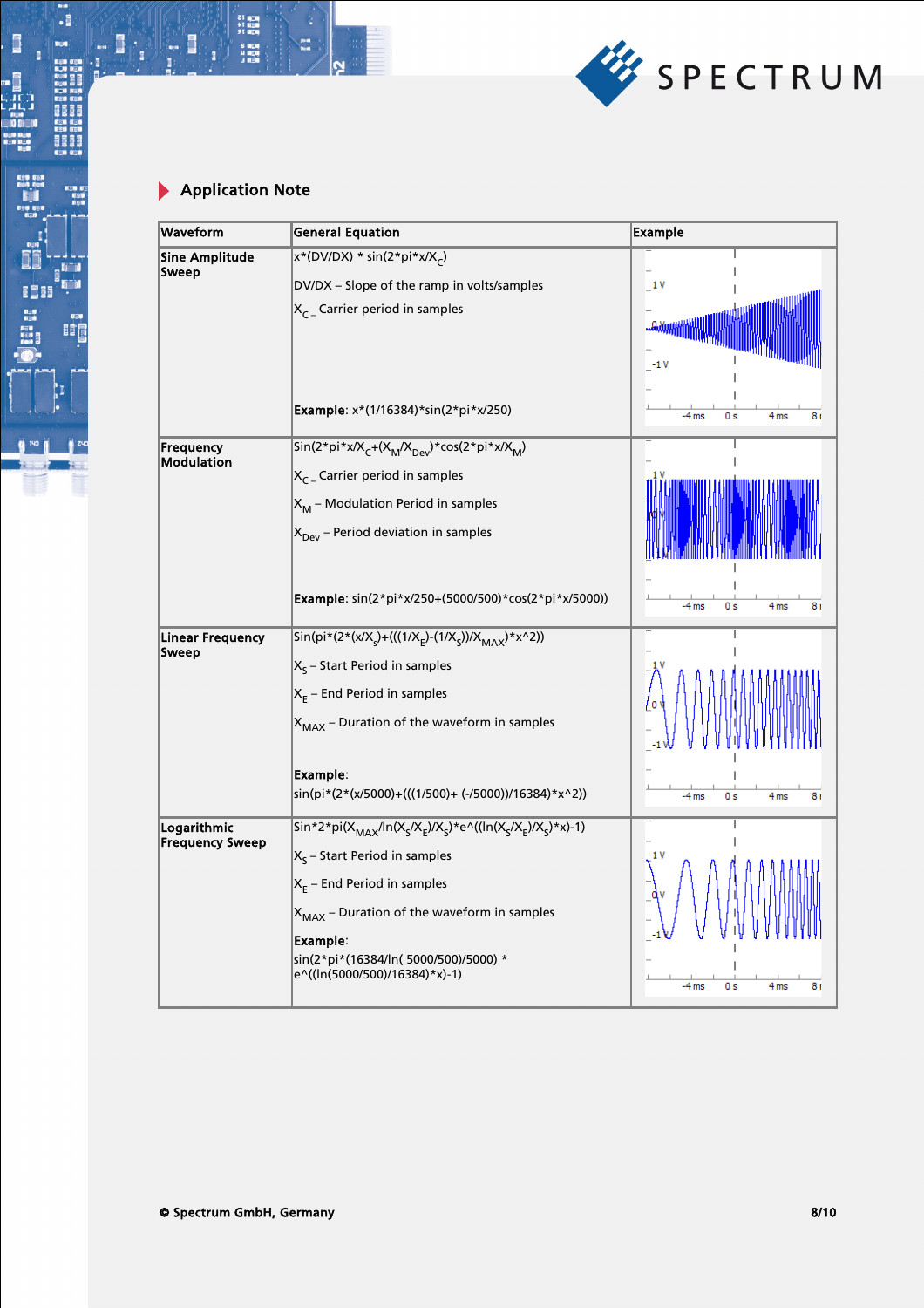

21 中国<br>41 日本<br>91 日本時代<br>6 日本時代

с

.:

i.

8888

BOT<sub>1</sub>

B

**I**I: 1

i<br>Ji

j

Les comments

 $\bullet$ 

| Waveform                                | <b>General Equation</b>                                                                                                                        | <b>Example</b>                                     |
|-----------------------------------------|------------------------------------------------------------------------------------------------------------------------------------------------|----------------------------------------------------|
| <b>Sine Amplitude</b><br>Sweep          | $x*(DV/DX) * sin(2*pi*x/Xc)$                                                                                                                   |                                                    |
|                                         | DV/DX - Slope of the ramp in volts/samples                                                                                                     | 1V                                                 |
|                                         | $X_{C}$ Carrier period in samples                                                                                                              | <b>JAXAMHAN</b><br>$-1V$                           |
|                                         | Example: x*(1/16384)*sin(2*pi*x/250)                                                                                                           | 4 <sub>ms</sub><br>$-4ms$<br>0 s<br>8 r            |
| Frequency<br><b>Modulation</b>          | Sin(2*pi*x/X <sub>C</sub> +(X <sub>M</sub> /X <sub>Dev</sub> )*cos(2*pi*x/X <sub>M</sub> )                                                     |                                                    |
|                                         | $X_{C}$ Carrier period in samples                                                                                                              |                                                    |
|                                         | $X_M$ – Modulation Period in samples                                                                                                           |                                                    |
|                                         | $X_{\text{Dev}}$ – Period deviation in samples                                                                                                 |                                                    |
|                                         | Example: sin(2*pi*x/250+(5000/500)*cos(2*pi*x/5000))                                                                                           | 0 s<br>4 <sub>ms</sub><br>-4 ms<br>8 r             |
| <b>Linear Frequency</b><br><b>Sweep</b> | Sin(pi*(2*(x/X <sub>s</sub> )+(((1/X <sub>E</sub> )-(1/X <sub>s</sub> ))/X <sub>MAX</sub> )*x^2))                                              |                                                    |
|                                         | $X_{s}$ – Start Period in samples                                                                                                              |                                                    |
|                                         | $X_E$ – End Period in samples                                                                                                                  |                                                    |
|                                         | $X_{MAX}$ – Duration of the waveform in samples                                                                                                |                                                    |
|                                         | Example:                                                                                                                                       |                                                    |
|                                         | sin(pi*(2*(x/5000)+(((1/500)+ (-/5000))/16384)*x^2))                                                                                           | $-4ms$<br>0s<br>4 <sub>ms</sub><br>R r             |
| Logarithmic<br><b>Frequency Sweep</b>   | Sin*2*pi(X <sub>MAX</sub> /ln(X <sub>S</sub> /X <sub>E</sub> )/X <sub>S</sub> )*e^((ln(X <sub>S</sub> /X <sub>E</sub> )/X <sub>S</sub> )*x)-1) |                                                    |
|                                         | $X_{5}$ – Start Period in samples                                                                                                              |                                                    |
|                                         | $X_E$ – End Period in samples                                                                                                                  |                                                    |
|                                         | $X_{MAX}$ – Duration of the waveform in samples                                                                                                |                                                    |
|                                         | Example:<br>sin(2*pi*(16384/ln(5000/500)/5000) *<br>e^((ln(5000/500)/16384)*x)-1)                                                              | $-4ms$<br>0 <sub>s</sub><br>4 <sub>ms</sub><br>8 r |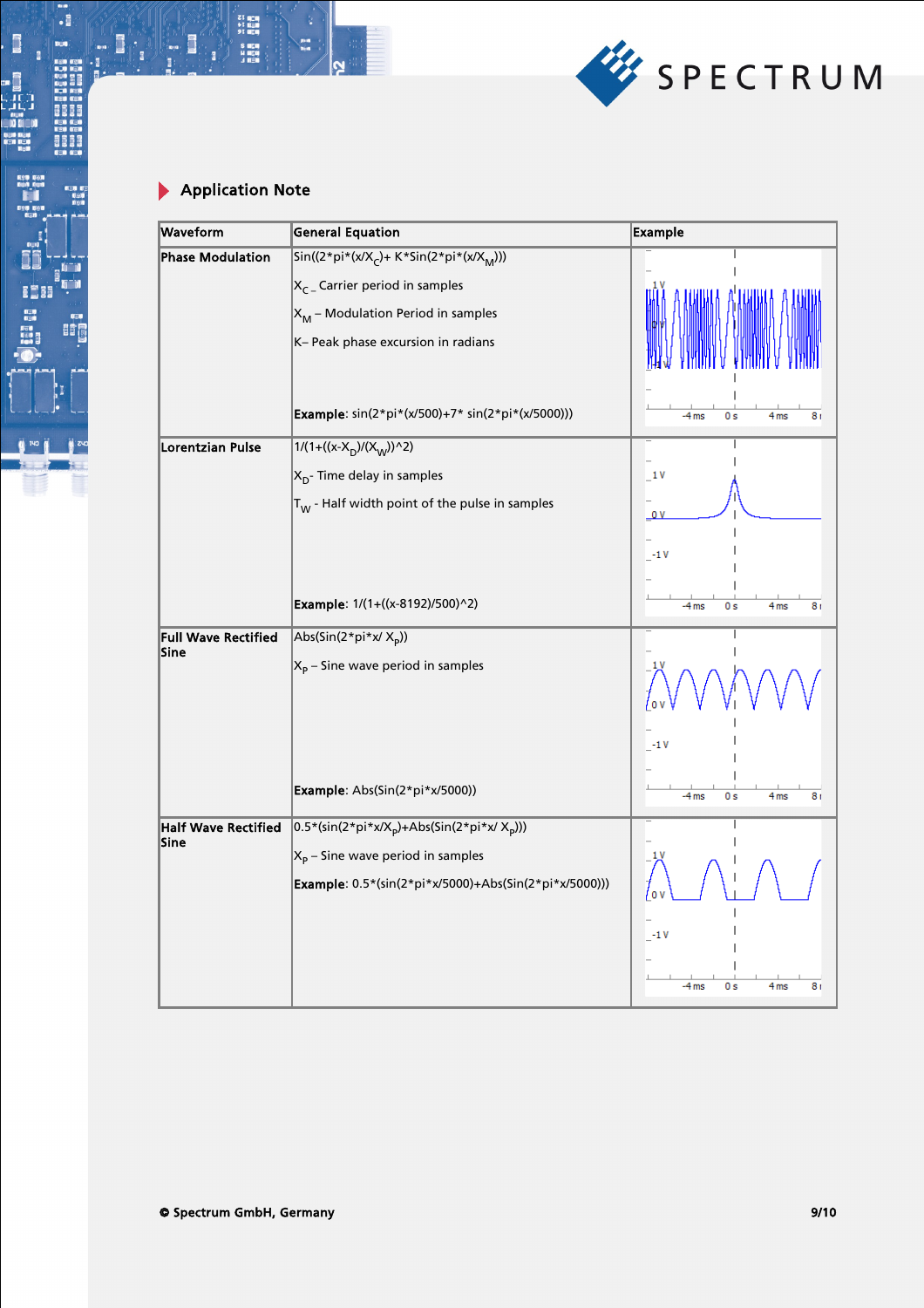

21 中国<br>41 日本<br>91 日本時代<br>6 日本時代

с

.:

i.

8888

BOT<sub>1</sub>

B

**I**I: 1

i<br>Ji

ana<br>Di Co

j

Les comments

 $\bullet$   $\bullet$ 

| Waveform                           | <b>General Equation</b>                                                         | <b>Example</b>                         |
|------------------------------------|---------------------------------------------------------------------------------|----------------------------------------|
| <b>Phase Modulation</b>            | $\sin((2 * pi * (x/Xc) + K * Sin(2 * pi * (x/XM)))$                             |                                        |
|                                    | $X_{C}$ Carrier period in samples                                               |                                        |
|                                    | $X_M$ – Modulation Period in samples                                            |                                        |
|                                    | K- Peak phase excursion in radians                                              |                                        |
|                                    |                                                                                 |                                        |
|                                    |                                                                                 |                                        |
|                                    | Example: sin(2*pi*(x/500)+7* sin(2*pi*(x/5000)))                                | 4 <sub>ms</sub><br>$-4ms$<br>0s<br>8r  |
| Lorentzian Pulse                   | $1/(1+((x-X_D)/(X_W))^2)$                                                       |                                        |
|                                    | $X_{D}$ - Time delay in samples                                                 | 1V                                     |
|                                    | $\vert_{\Upsilon_{\text{W}}}$ - Half width point of the pulse in samples        | 0V                                     |
|                                    |                                                                                 |                                        |
|                                    |                                                                                 | $-1V$                                  |
|                                    | Example: 1/(1+((x-8192)/500)^2)                                                 |                                        |
|                                    |                                                                                 | 4 <sub>ms</sub><br>$-4ms$<br>0 s<br>8r |
| <b>Full Wave Rectified</b><br>Sine | $\left  \text{Abs}(\text{Sin}(2^* \text{pi}^* \text{x}/ X_{\text{p}})) \right $ |                                        |
|                                    | $X_p$ – Sine wave period in samples                                             |                                        |
|                                    |                                                                                 |                                        |
|                                    |                                                                                 |                                        |
|                                    |                                                                                 | $-1V$                                  |
|                                    | Example: Abs(Sin(2*pi*x/5000))                                                  | $-4$ ms<br>0s<br>4 <sub>ms</sub><br>8r |
| <b>Half Wave Rectified</b>         | $\left 0.5*(sin(2*pi*x/X_p)+Abs(Sin(2*pi*x/X_p)))\right $                       |                                        |
| Sine                               | $X_p$ – Sine wave period in samples                                             |                                        |
|                                    | Example: 0.5*(sin(2*pi*x/5000)+Abs(Sin(2*pi*x/5000)))                           |                                        |
|                                    |                                                                                 |                                        |
|                                    |                                                                                 | $-1V$                                  |
|                                    |                                                                                 |                                        |
|                                    |                                                                                 | $-4ms$<br>0 s<br>4 <sub>ms</sub><br>8r |